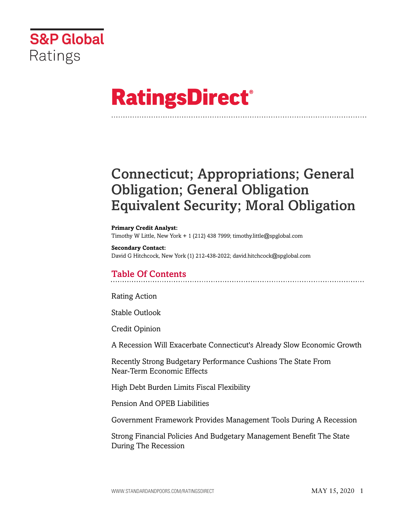

# **RatingsDirect®**

# Connecticut; Appropriations; General Obligation; General Obligation Equivalent Security; Moral Obligation

#### **Primary Credit Analyst:**

Timothy W Little, New York + 1 (212) 438 7999; timothy.little@spglobal.com

#### **Secondary Contact:**

David G Hitchcock, New York (1) 212-438-2022; david.hitchcock@spglobal.com

# Table Of Contents

[Rating Action](#page-1-0)

[Stable Outlook](#page-2-0)

[Credit Opinion](#page-3-0)

[A Recession Will Exacerbate Connecticut's Already Slow Economic Growth](#page-3-1)

[Recently Strong Budgetary Performance Cushions The State From](#page-4-0) [Near-Term Economic Effects](#page-4-0)

[High Debt Burden Limits Fiscal Flexibility](#page-5-0)

[Pension And OPEB Liabilities](#page-5-1)

[Government Framework Provides Management Tools During A Recession](#page-7-0)

[Strong Financial Policies And Budgetary Management Benefit The State](#page-8-0) [During The Recession](#page-8-0)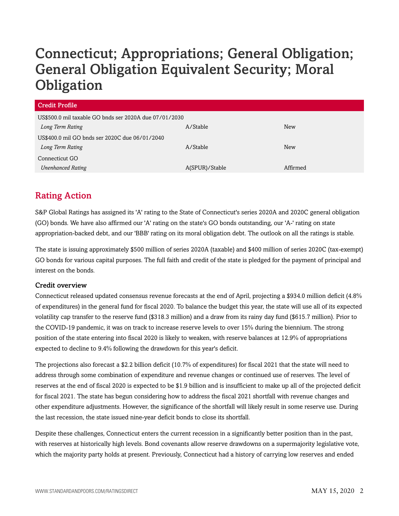# Connecticut; Appropriations; General Obligation; General Obligation Equivalent Security; Moral **Obligation**

| <b>Credit Profile</b>                                  |                |            |  |
|--------------------------------------------------------|----------------|------------|--|
| US\$500.0 mil taxable GO bnds ser 2020A due 07/01/2030 |                |            |  |
| Long Term Rating                                       | A/Stable       | <b>New</b> |  |
| US\$400.0 mil GO bnds ser 2020C due 06/01/2040         |                |            |  |
| Long Term Rating                                       | A/Stable       | <b>New</b> |  |
| Connecticut GO                                         |                |            |  |
| <b>Unenhanced Rating</b>                               | A(SPUR)/Stable | Affirmed   |  |

# <span id="page-1-0"></span>Rating Action

S&P Global Ratings has assigned its 'A' rating to the State of Connecticut's series 2020A and 2020C general obligation (GO) bonds. We have also affirmed our 'A' rating on the state's GO bonds outstanding, our 'A-' rating on state appropriation-backed debt, and our 'BBB' rating on its moral obligation debt. The outlook on all the ratings is stable.

The state is issuing approximately \$500 million of series 2020A (taxable) and \$400 million of series 2020C (tax-exempt) GO bonds for various capital purposes. The full faith and credit of the state is pledged for the payment of principal and interest on the bonds.

#### Credit overview

Connecticut released updated consensus revenue forecasts at the end of April, projecting a \$934.0 million deficit (4.8% of expenditures) in the general fund for fiscal 2020. To balance the budget this year, the state will use all of its expected volatility cap transfer to the reserve fund (\$318.3 million) and a draw from its rainy day fund (\$615.7 million). Prior to the COVID-19 pandemic, it was on track to increase reserve levels to over 15% during the biennium. The strong position of the state entering into fiscal 2020 is likely to weaken, with reserve balances at 12.9% of appropriations expected to decline to 9.4% following the drawdown for this year's deficit.

The projections also forecast a \$2.2 billion deficit (10.7% of expenditures) for fiscal 2021 that the state will need to address through some combination of expenditure and revenue changes or continued use of reserves. The level of reserves at the end of fiscal 2020 is expected to be \$1.9 billion and is insufficient to make up all of the projected deficit for fiscal 2021. The state has begun considering how to address the fiscal 2021 shortfall with revenue changes and other expenditure adjustments. However, the significance of the shortfall will likely result in some reserve use. During the last recession, the state issued nine-year deficit bonds to close its shortfall.

Despite these challenges, Connecticut enters the current recession in a significantly better position than in the past, with reserves at historically high levels. Bond covenants allow reserve drawdowns on a supermajority legislative vote, which the majority party holds at present. Previously, Connecticut had a history of carrying low reserves and ended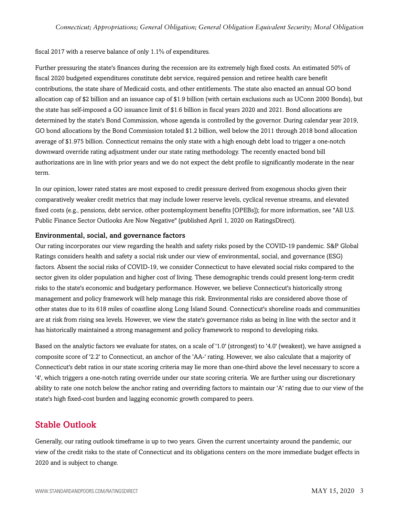#### fiscal 2017 with a reserve balance of only 1.1% of expenditures.

Further pressuring the state's finances during the recession are its extremely high fixed costs. An estimated 50% of fiscal 2020 budgeted expenditures constitute debt service, required pension and retiree health care benefit contributions, the state share of Medicaid costs, and other entitlements. The state also enacted an annual GO bond allocation cap of \$2 billion and an issuance cap of \$1.9 billion (with certain exclusions such as UConn 2000 Bonds), but the state has self-imposed a GO issuance limit of \$1.6 billion in fiscal years 2020 and 2021. Bond allocations are determined by the state's Bond Commission, whose agenda is controlled by the governor. During calendar year 2019, GO bond allocations by the Bond Commission totaled \$1.2 billion, well below the 2011 through 2018 bond allocation average of \$1.975 billion. Connecticut remains the only state with a high enough debt load to trigger a one-notch downward override rating adjustment under our state rating methodology. The recently enacted bond bill authorizations are in line with prior years and we do not expect the debt profile to significantly moderate in the near term.

In our opinion, lower rated states are most exposed to credit pressure derived from exogenous shocks given their comparatively weaker credit metrics that may include lower reserve levels, cyclical revenue streams, and elevated fixed costs (e.g., pensions, debt service, other postemployment benefits [OPEBs]); for more information, see "All U.S. Public Finance Sector Outlooks Are Now Negative" (published April 1, 2020 on RatingsDirect).

#### Environmental, social, and governance factors

Our rating incorporates our view regarding the health and safety risks posed by the COVID-19 pandemic. S&P Global Ratings considers health and safety a social risk under our view of environmental, social, and governance (ESG) factors. Absent the social risks of COVID-19, we consider Connecticut to have elevated social risks compared to the sector given its older population and higher cost of living. These demographic trends could present long-term credit risks to the state's economic and budgetary performance. However, we believe Connecticut's historically strong management and policy framework will help manage this risk. Environmental risks are considered above those of other states due to its 618 miles of coastline along Long Island Sound. Connecticut's shoreline roads and communities are at risk from rising sea levels. However, we view the state's governance risks as being in line with the sector and it has historically maintained a strong management and policy framework to respond to developing risks.

Based on the analytic factors we evaluate for states, on a scale of '1.0' (strongest) to '4.0' (weakest), we have assigned a composite score of '2.2' to Connecticut, an anchor of the 'AA-' rating. However, we also calculate that a majority of Connecticut's debt ratios in our state scoring criteria may lie more than one-third above the level necessary to score a '4', which triggers a one-notch rating override under our state scoring criteria. We are further using our discretionary ability to rate one notch below the anchor rating and overriding factors to maintain our 'A' rating due to our view of the state's high fixed-cost burden and lagging economic growth compared to peers.

### <span id="page-2-0"></span>Stable Outlook

Generally, our rating outlook timeframe is up to two years. Given the current uncertainty around the pandemic, our view of the credit risks to the state of Connecticut and its obligations centers on the more immediate budget effects in 2020 and is subject to change.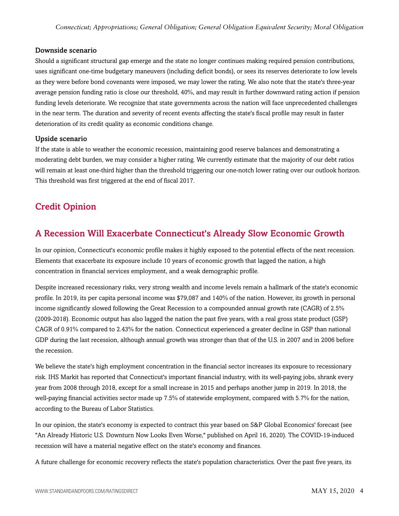#### Downside scenario

Should a significant structural gap emerge and the state no longer continues making required pension contributions, uses significant one-time budgetary maneuvers (including deficit bonds), or sees its reserves deteriorate to low levels as they were before bond covenants were imposed, we may lower the rating. We also note that the state's three-year average pension funding ratio is close our threshold, 40%, and may result in further downward rating action if pension funding levels deteriorate. We recognize that state governments across the nation will face unprecedented challenges in the near term. The duration and severity of recent events affecting the state's fiscal profile may result in faster deterioration of its credit quality as economic conditions change.

#### Upside scenario

If the state is able to weather the economic recession, maintaining good reserve balances and demonstrating a moderating debt burden, we may consider a higher rating. We currently estimate that the majority of our debt ratios will remain at least one-third higher than the threshold triggering our one-notch lower rating over our outlook horizon. This threshold was first triggered at the end of fiscal 2017.

# <span id="page-3-0"></span>Credit Opinion

# <span id="page-3-1"></span>A Recession Will Exacerbate Connecticut's Already Slow Economic Growth

In our opinion, Connecticut's economic profile makes it highly exposed to the potential effects of the next recession. Elements that exacerbate its exposure include 10 years of economic growth that lagged the nation, a high concentration in financial services employment, and a weak demographic profile.

Despite increased recessionary risks, very strong wealth and income levels remain a hallmark of the state's economic profile. In 2019, its per capita personal income was \$79,087 and 140% of the nation. However, its growth in personal income significantly slowed following the Great Recession to a compounded annual growth rate (CAGR) of 2.5% (2009-2018). Economic output has also lagged the nation the past five years, with a real gross state product (GSP) CAGR of 0.91% compared to 2.43% for the nation. Connecticut experienced a greater decline in GSP than national GDP during the last recession, although annual growth was stronger than that of the U.S. in 2007 and in 2006 before the recession.

We believe the state's high employment concentration in the financial sector increases its exposure to recessionary risk. IHS Markit has reported that Connecticut's important financial industry, with its well-paying jobs, shrank every year from 2008 through 2018, except for a small increase in 2015 and perhaps another jump in 2019. In 2018, the well-paying financial activities sector made up 7.5% of statewide employment, compared with 5.7% for the nation, according to the Bureau of Labor Statistics.

In our opinion, the state's economy is expected to contract this year based on S&P Global Economics' forecast (see "An Already Historic U.S. Downturn Now Looks Even Worse," published on April 16, 2020). The COVID-19-induced recession will have a material negative effect on the state's economy and finances.

A future challenge for economic recovery reflects the state's population characteristics. Over the past five years, its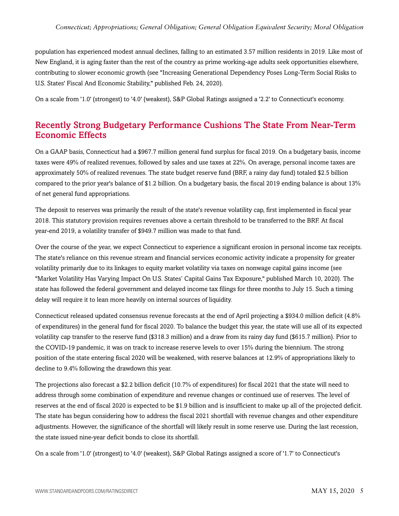population has experienced modest annual declines, falling to an estimated 3.57 million residents in 2019. Like most of New England, it is aging faster than the rest of the country as prime working-age adults seek opportunities elsewhere, contributing to slower economic growth (see "Increasing Generational Dependency Poses Long-Term Social Risks to U.S. States' Fiscal And Economic Stability," published Feb. 24, 2020).

<span id="page-4-0"></span>On a scale from '1.0' (strongest) to '4.0' (weakest), S&P Global Ratings assigned a '2.2' to Connecticut's economy.

# Recently Strong Budgetary Performance Cushions The State From Near-Term Economic Effects

On a GAAP basis, Connecticut had a \$967.7 million general fund surplus for fiscal 2019. On a budgetary basis, income taxes were 49% of realized revenues, followed by sales and use taxes at 22%. On average, personal income taxes are approximately 50% of realized revenues. The state budget reserve fund (BRF, a rainy day fund) totaled \$2.5 billion compared to the prior year's balance of \$1.2 billion. On a budgetary basis, the fiscal 2019 ending balance is about 13% of net general fund appropriations.

The deposit to reserves was primarily the result of the state's revenue volatility cap, first implemented in fiscal year 2018. This statutory provision requires revenues above a certain threshold to be transferred to the BRF. At fiscal year-end 2019, a volatility transfer of \$949.7 million was made to that fund.

Over the course of the year, we expect Connecticut to experience a significant erosion in personal income tax receipts. The state's reliance on this revenue stream and financial services economic activity indicate a propensity for greater volatility primarily due to its linkages to equity market volatility via taxes on nonwage capital gains income (see "Market Volatility Has Varying Impact On U.S. States' Capital Gains Tax Exposure," published March 10, 2020). The state has followed the federal government and delayed income tax filings for three months to July 15. Such a timing delay will require it to lean more heavily on internal sources of liquidity.

Connecticut released updated consensus revenue forecasts at the end of April projecting a \$934.0 million deficit (4.8% of expenditures) in the general fund for fiscal 2020. To balance the budget this year, the state will use all of its expected volatility cap transfer to the reserve fund (\$318.3 million) and a draw from its rainy day fund (\$615.7 million). Prior to the COVID-19 pandemic, it was on track to increase reserve levels to over 15% during the biennium. The strong position of the state entering fiscal 2020 will be weakened, with reserve balances at 12.9% of appropriations likely to decline to 9.4% following the drawdown this year.

The projections also forecast a \$2.2 billion deficit (10.7% of expenditures) for fiscal 2021 that the state will need to address through some combination of expenditure and revenue changes or continued use of reserves. The level of reserves at the end of fiscal 2020 is expected to be \$1.9 billion and is insufficient to make up all of the projected deficit. The state has begun considering how to address the fiscal 2021 shortfall with revenue changes and other expenditure adjustments. However, the significance of the shortfall will likely result in some reserve use. During the last recession, the state issued nine-year deficit bonds to close its shortfall.

On a scale from '1.0' (strongest) to '4.0' (weakest), S&P Global Ratings assigned a score of '1.7' to Connecticut's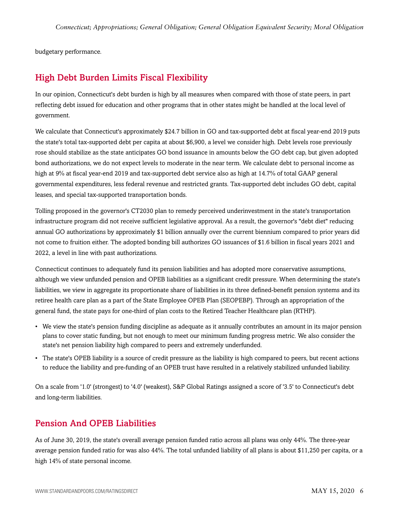<span id="page-5-0"></span>budgetary performance.

# High Debt Burden Limits Fiscal Flexibility

In our opinion, Connecticut's debt burden is high by all measures when compared with those of state peers, in part reflecting debt issued for education and other programs that in other states might be handled at the local level of government.

We calculate that Connecticut's approximately \$24.7 billion in GO and tax-supported debt at fiscal year-end 2019 puts the state's total tax-supported debt per capita at about \$6,900, a level we consider high. Debt levels rose previously rose should stabilize as the state anticipates GO bond issuance in amounts below the GO debt cap, but given adopted bond authorizations, we do not expect levels to moderate in the near term. We calculate debt to personal income as high at 9% at fiscal year-end 2019 and tax-supported debt service also as high at 14.7% of total GAAP general governmental expenditures, less federal revenue and restricted grants. Tax-supported debt includes GO debt, capital leases, and special tax-supported transportation bonds.

Tolling proposed in the governor's CT2030 plan to remedy perceived underinvestment in the state's transportation infrastructure program did not receive sufficient legislative approval. As a result, the governor's "debt diet" reducing annual GO authorizations by approximately \$1 billion annually over the current biennium compared to prior years did not come to fruition either. The adopted bonding bill authorizes GO issuances of \$1.6 billion in fiscal years 2021 and 2022, a level in line with past authorizations.

Connecticut continues to adequately fund its pension liabilities and has adopted more conservative assumptions, although we view unfunded pension and OPEB liabilities as a significant credit pressure. When determining the state's liabilities, we view in aggregate its proportionate share of liabilities in its three defined-benefit pension systems and its retiree health care plan as a part of the State Employee OPEB Plan (SEOPEBP). Through an appropriation of the general fund, the state pays for one-third of plan costs to the Retired Teacher Healthcare plan (RTHP).

- We view the state's pension funding discipline as adequate as it annually contributes an amount in its major pension plans to cover static funding, but not enough to meet our minimum funding progress metric. We also consider the state's net pension liability high compared to peers and extremely underfunded.
- The state's OPEB liability is a source of credit pressure as the liability is high compared to peers, but recent actions to reduce the liability and pre-funding of an OPEB trust have resulted in a relatively stabilized unfunded liability.

On a scale from '1.0' (strongest) to '4.0' (weakest), S&P Global Ratings assigned a score of '3.5' to Connecticut's debt and long-term liabilities.

### <span id="page-5-1"></span>Pension And OPEB Liabilities

As of June 30, 2019, the state's overall average pension funded ratio across all plans was only 44%. The three-year average pension funded ratio for was also 44%. The total unfunded liability of all plans is about \$11,250 per capita, or a high 14% of state personal income.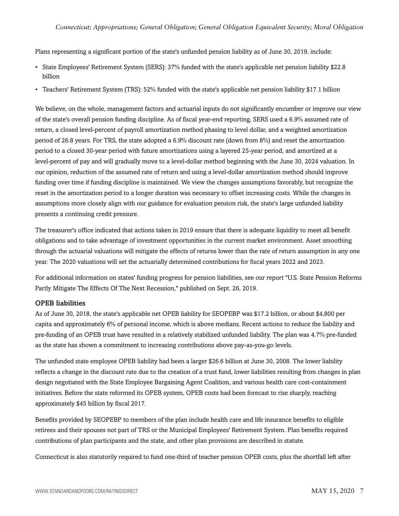Plans representing a significant portion of the state's unfunded pension liability as of June 30, 2019, include:

- State Employees' Retirement System (SERS): 37% funded with the state's applicable net pension liability \$22.8 billion
- Teachers' Retirement System (TRS): 52% funded with the state's applicable net pension liability \$17.1 billion

We believe, on the whole, management factors and actuarial inputs do not significantly encumber or improve our view of the state's overall pension funding discipline. As of fiscal year-end reporting, SERS used a 6.9% assumed rate of return, a closed level-percent of payroll amortization method phasing to level dollar, and a weighted amortization period of 26.8 years. For TRS, the state adopted a 6.9% discount rate (down from 8%) and reset the amortization period to a closed 30-year period with future amortizations using a layered 25-year period, and amortized at a level-percent of pay and will gradually move to a level-dollar method beginning with the June 30, 2024 valuation. In our opinion, reduction of the assumed rate of return and using a level-dollar amortization method should improve funding over time if funding discipline is maintained. We view the changes assumptions favorably, but recognize the reset in the amortization period to a longer duration was necessary to offset increasing costs. While the changes in assumptions more closely align with our guidance for evaluation pension risk, the state's large unfunded liability presents a continuing credit pressure.

The treasurer's office indicated that actions taken in 2019 ensure that there is adequate liquidity to meet all benefit obligations and to take advantage of investment opportunities in the current market environment. Asset smoothing through the actuarial valuations will mitigate the effects of returns lower than the rate of return assumption in any one year. The 2020 valuations will set the actuarially determined contributions for fiscal years 2022 and 2023.

For additional information on states' funding progress for pension liabilities, see our report "U.S. State Pension Reforms Partly Mitigate The Effects Of The Next Recession," published on Sept. 26, 2019.

#### OPEB liabilities

As of June 30, 2018, the state's applicable net OPEB liability for SEOPEBP was \$17.2 billion, or about \$4,800 per capita and approximately 6% of personal income, which is above medians. Recent actions to reduce the liability and pre-funding of an OPEB trust have resulted in a relatively stabilized unfunded liability. The plan was 4.7% pre-funded as the state has shown a commitment to increasing contributions above pay-as-you-go levels.

The unfunded state employee OPEB liability had been a larger \$26.6 billion at June 30, 2008. The lower liability reflects a change in the discount rate due to the creation of a trust fund, lower liabilities resulting from changes in plan design negotiated with the State Employee Bargaining Agent Coalition, and various health care cost-containment initiatives. Before the state reformed its OPEB system, OPEB costs had been forecast to rise sharply, reaching approximately \$45 billion by fiscal 2017.

Benefits provided by SEOPEBP to members of the plan include health care and life insurance benefits to eligible retirees and their spouses not part of TRS or the Municipal Employees' Retirement System. Plan benefits required contributions of plan participants and the state, and other plan provisions are described in statute.

Connecticut is also statutorily required to fund one-third of teacher pension OPEB costs, plus the shortfall left after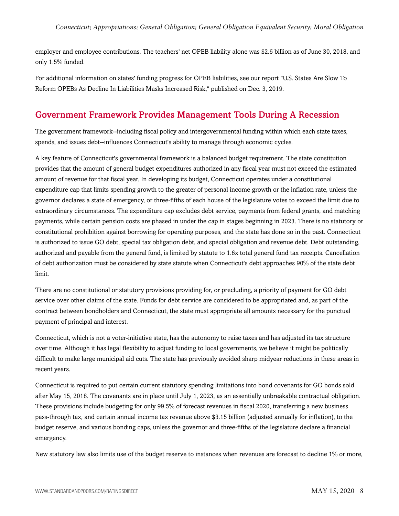employer and employee contributions. The teachers' net OPEB liability alone was \$2.6 billion as of June 30, 2018, and only 1.5% funded.

For additional information on states' funding progress for OPEB liabilities, see our report "U.S. States Are Slow To Reform OPEBs As Decline In Liabilities Masks Increased Risk," published on Dec. 3, 2019.

# <span id="page-7-0"></span>Government Framework Provides Management Tools During A Recession

The government framework--including fiscal policy and intergovernmental funding within which each state taxes, spends, and issues debt--influences Connecticut's ability to manage through economic cycles.

A key feature of Connecticut's governmental framework is a balanced budget requirement. The state constitution provides that the amount of general budget expenditures authorized in any fiscal year must not exceed the estimated amount of revenue for that fiscal year. In developing its budget, Connecticut operates under a constitutional expenditure cap that limits spending growth to the greater of personal income growth or the inflation rate, unless the governor declares a state of emergency, or three-fifths of each house of the legislature votes to exceed the limit due to extraordinary circumstances. The expenditure cap excludes debt service, payments from federal grants, and matching payments, while certain pension costs are phased in under the cap in stages beginning in 2023. There is no statutory or constitutional prohibition against borrowing for operating purposes, and the state has done so in the past. Connecticut is authorized to issue GO debt, special tax obligation debt, and special obligation and revenue debt. Debt outstanding, authorized and payable from the general fund, is limited by statute to 1.6x total general fund tax receipts. Cancellation of debt authorization must be considered by state statute when Connecticut's debt approaches 90% of the state debt limit.

There are no constitutional or statutory provisions providing for, or precluding, a priority of payment for GO debt service over other claims of the state. Funds for debt service are considered to be appropriated and, as part of the contract between bondholders and Connecticut, the state must appropriate all amounts necessary for the punctual payment of principal and interest.

Connecticut, which is not a voter-initiative state, has the autonomy to raise taxes and has adjusted its tax structure over time. Although it has legal flexibility to adjust funding to local governments, we believe it might be politically difficult to make large municipal aid cuts. The state has previously avoided sharp midyear reductions in these areas in recent years.

Connecticut is required to put certain current statutory spending limitations into bond covenants for GO bonds sold after May 15, 2018. The covenants are in place until July 1, 2023, as an essentially unbreakable contractual obligation. These provisions include budgeting for only 99.5% of forecast revenues in fiscal 2020, transferring a new business pass-through tax, and certain annual income tax revenue above \$3.15 billion (adjusted annually for inflation), to the budget reserve, and various bonding caps, unless the governor and three-fifths of the legislature declare a financial emergency.

New statutory law also limits use of the budget reserve to instances when revenues are forecast to decline 1% or more,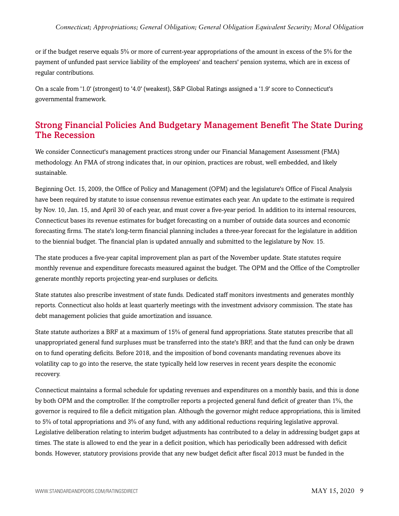or if the budget reserve equals 5% or more of current-year appropriations of the amount in excess of the 5% for the payment of unfunded past service liability of the employees' and teachers' pension systems, which are in excess of regular contributions.

On a scale from '1.0' (strongest) to '4.0' (weakest), S&P Global Ratings assigned a '1.9' score to Connecticut's governmental framework.

# <span id="page-8-0"></span>Strong Financial Policies And Budgetary Management Benefit The State During The Recession

We consider Connecticut's management practices strong under our Financial Management Assessment (FMA) methodology. An FMA of strong indicates that, in our opinion, practices are robust, well embedded, and likely sustainable.

Beginning Oct. 15, 2009, the Office of Policy and Management (OPM) and the legislature's Office of Fiscal Analysis have been required by statute to issue consensus revenue estimates each year. An update to the estimate is required by Nov. 10, Jan. 15, and April 30 of each year, and must cover a five-year period. In addition to its internal resources, Connecticut bases its revenue estimates for budget forecasting on a number of outside data sources and economic forecasting firms. The state's long-term financial planning includes a three-year forecast for the legislature in addition to the biennial budget. The financial plan is updated annually and submitted to the legislature by Nov. 15.

The state produces a five-year capital improvement plan as part of the November update. State statutes require monthly revenue and expenditure forecasts measured against the budget. The OPM and the Office of the Comptroller generate monthly reports projecting year-end surpluses or deficits.

State statutes also prescribe investment of state funds. Dedicated staff monitors investments and generates monthly reports. Connecticut also holds at least quarterly meetings with the investment advisory commission. The state has debt management policies that guide amortization and issuance.

State statute authorizes a BRF at a maximum of 15% of general fund appropriations. State statutes prescribe that all unappropriated general fund surpluses must be transferred into the state's BRF, and that the fund can only be drawn on to fund operating deficits. Before 2018, and the imposition of bond covenants mandating revenues above its volatility cap to go into the reserve, the state typically held low reserves in recent years despite the economic recovery.

Connecticut maintains a formal schedule for updating revenues and expenditures on a monthly basis, and this is done by both OPM and the comptroller. If the comptroller reports a projected general fund deficit of greater than 1%, the governor is required to file a deficit mitigation plan. Although the governor might reduce appropriations, this is limited to 5% of total appropriations and 3% of any fund, with any additional reductions requiring legislative approval. Legislative deliberation relating to interim budget adjustments has contributed to a delay in addressing budget gaps at times. The state is allowed to end the year in a deficit position, which has periodically been addressed with deficit bonds. However, statutory provisions provide that any new budget deficit after fiscal 2013 must be funded in the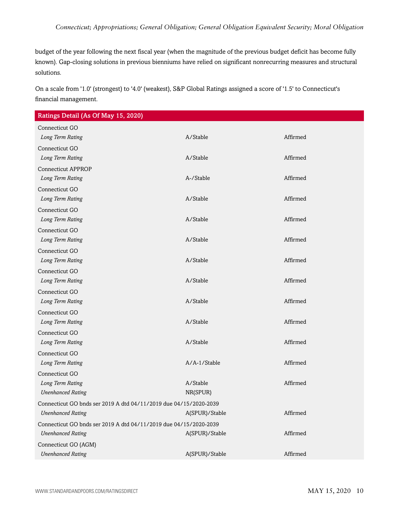budget of the year following the next fiscal year (when the magnitude of the previous budget deficit has become fully known). Gap-closing solutions in previous bienniums have relied on significant nonrecurring measures and structural solutions.

On a scale from '1.0' (strongest) to '4.0' (weakest), S&P Global Ratings assigned a score of '1.5' to Connecticut's financial management.

Ratings Detail (As Of May 15, 2020)

| "ס"                                                               |                |          |  |
|-------------------------------------------------------------------|----------------|----------|--|
| Connecticut GO                                                    |                |          |  |
| Long Term Rating                                                  | A/Stable       | Affirmed |  |
| Connecticut GO                                                    |                |          |  |
| Long Term Rating                                                  | A/Stable       | Affirmed |  |
| <b>Connecticut APPROP</b>                                         |                |          |  |
| Long Term Rating                                                  | A-/Stable      | Affirmed |  |
| Connecticut GO                                                    |                |          |  |
| Long Term Rating                                                  | A/Stable       | Affirmed |  |
| Connecticut GO                                                    |                |          |  |
| Long Term Rating                                                  | A/Stable       | Affirmed |  |
| Connecticut GO                                                    |                |          |  |
| Long Term Rating                                                  | A/Stable       | Affirmed |  |
| Connecticut GO                                                    |                |          |  |
| Long Term Rating                                                  | A/Stable       | Affirmed |  |
| Connecticut GO                                                    |                |          |  |
| Long Term Rating                                                  | A/Stable       | Affirmed |  |
| Connecticut GO                                                    |                |          |  |
| Long Term Rating                                                  | A/Stable       | Affirmed |  |
| Connecticut GO                                                    |                |          |  |
| Long Term Rating                                                  | A/Stable       | Affirmed |  |
| Connecticut GO                                                    |                |          |  |
| Long Term Rating                                                  | A/Stable       | Affirmed |  |
| Connecticut GO                                                    |                |          |  |
| Long Term Rating                                                  | A/A-1/Stable   | Affirmed |  |
| Connecticut GO                                                    |                |          |  |
| Long Term Rating                                                  | A/Stable       | Affirmed |  |
| <b>Unenhanced Rating</b>                                          | NR(SPUR)       |          |  |
| Connecticut GO bnds ser 2019 A dtd 04/11/2019 due 04/15/2020-2039 |                |          |  |
| <b>Unenhanced Rating</b>                                          | A(SPUR)/Stable | Affirmed |  |
| Connecticut GO bnds ser 2019 A dtd 04/11/2019 due 04/15/2020-2039 |                |          |  |
| <b>Unenhanced Rating</b>                                          | A(SPUR)/Stable | Affirmed |  |
| Connecticut GO (AGM)                                              |                |          |  |
| <b>Unenhanced Rating</b>                                          | A(SPUR)/Stable | Affirmed |  |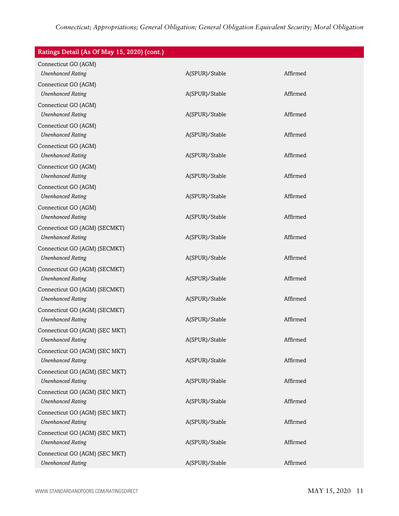| Ratings Detail (As Of May 15, 2020) (cont.) |                |          |
|---------------------------------------------|----------------|----------|
| Connecticut GO (AGM)                        |                |          |
| <b>Unenhanced Rating</b>                    | A(SPUR)/Stable | Affirmed |
| Connecticut GO (AGM)                        |                |          |
| <b>Unenhanced Rating</b>                    | A(SPUR)/Stable | Affirmed |
| Connecticut GO (AGM)                        |                |          |
| <b>Unenhanced Rating</b>                    | A(SPUR)/Stable | Affirmed |
| Connecticut GO (AGM)                        |                |          |
| <b>Unenhanced Rating</b>                    | A(SPUR)/Stable | Affirmed |
| Connecticut GO (AGM)                        |                |          |
| <b>Unenhanced Rating</b>                    | A(SPUR)/Stable | Affirmed |
| Connecticut GO (AGM)                        |                |          |
| <b>Unenhanced Rating</b>                    | A(SPUR)/Stable | Affirmed |
| Connecticut GO (AGM)                        |                |          |
| <b>Unenhanced Rating</b>                    | A(SPUR)/Stable | Affirmed |
| Connecticut GO (AGM)                        |                |          |
| <b>Unenhanced Rating</b>                    | A(SPUR)/Stable | Affirmed |
| Connecticut GO (AGM) (SECMKT)               |                |          |
| <b>Unenhanced Rating</b>                    | A(SPUR)/Stable | Affirmed |
| Connecticut GO (AGM) (SECMKT)               |                |          |
| <b>Unenhanced Rating</b>                    | A(SPUR)/Stable | Affirmed |
| Connecticut GO (AGM) (SECMKT)               |                |          |
| <b>Unenhanced Rating</b>                    | A(SPUR)/Stable | Affirmed |
| Connecticut GO (AGM) (SECMKT)               |                |          |
| <b>Unenhanced Rating</b>                    | A(SPUR)/Stable | Affirmed |
| Connecticut GO (AGM) (SECMKT)               |                |          |
| <b>Unenhanced Rating</b>                    | A(SPUR)/Stable | Affirmed |
| Connecticut GO (AGM) (SEC MKT)              |                |          |
| <b>Unenhanced Rating</b>                    | A(SPUR)/Stable | Affirmed |
| Connecticut GO (AGM) (SEC MKT)              |                |          |
| <b>Unenhanced Rating</b>                    | A(SPUR)/Stable | Affirmed |
| Connecticut GO (AGM) (SEC MKT)              |                |          |
| <b>Unenhanced Rating</b>                    | A(SPUR)/Stable | Affirmed |
| Connecticut GO (AGM) (SEC MKT)              |                |          |
| <b>Unenhanced Rating</b>                    | A(SPUR)/Stable | Affirmed |
| Connecticut GO (AGM) (SEC MKT)              |                |          |
| <b>Unenhanced Rating</b>                    | A(SPUR)/Stable | Affirmed |
| Connecticut GO (AGM) (SEC MKT)              |                |          |
| <b>Unenhanced Rating</b>                    | A(SPUR)/Stable | Affirmed |
| Connecticut GO (AGM) (SEC MKT)              |                |          |
| <b>Unenhanced Rating</b>                    | A(SPUR)/Stable | Affirmed |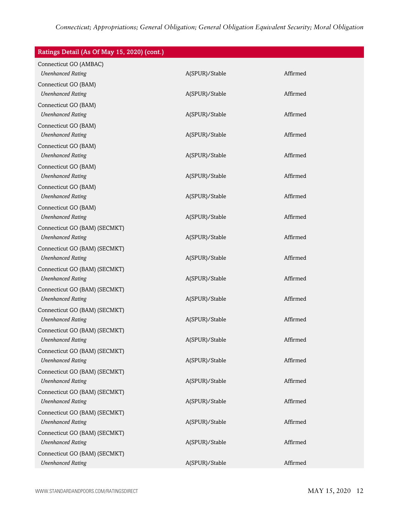| Ratings Detail (As Of May 15, 2020) (cont.) |                |          |
|---------------------------------------------|----------------|----------|
| Connecticut GO (AMBAC)                      |                |          |
| <b>Unenhanced Rating</b>                    | A(SPUR)/Stable | Affirmed |
| Connecticut GO (BAM)                        |                |          |
| <b>Unenhanced Rating</b>                    | A(SPUR)/Stable | Affirmed |
| Connecticut GO (BAM)                        |                |          |
| <b>Unenhanced Rating</b>                    | A(SPUR)/Stable | Affirmed |
| Connecticut GO (BAM)                        |                |          |
| <b>Unenhanced Rating</b>                    | A(SPUR)/Stable | Affirmed |
| Connecticut GO (BAM)                        |                |          |
| <b>Unenhanced Rating</b>                    | A(SPUR)/Stable | Affirmed |
| Connecticut GO (BAM)                        |                |          |
| <b>Unenhanced Rating</b>                    | A(SPUR)/Stable | Affirmed |
| Connecticut GO (BAM)                        |                |          |
| <b>Unenhanced Rating</b>                    | A(SPUR)/Stable | Affirmed |
| Connecticut GO (BAM)                        |                |          |
| <b>Unenhanced Rating</b>                    | A(SPUR)/Stable | Affirmed |
| Connecticut GO (BAM) (SECMKT)               |                |          |
| <b>Unenhanced Rating</b>                    | A(SPUR)/Stable | Affirmed |
| Connecticut GO (BAM) (SECMKT)               |                |          |
| <b>Unenhanced Rating</b>                    | A(SPUR)/Stable | Affirmed |
| Connecticut GO (BAM) (SECMKT)               |                |          |
| <b>Unenhanced Rating</b>                    | A(SPUR)/Stable | Affirmed |
| Connecticut GO (BAM) (SECMKT)               |                |          |
| <b>Unenhanced Rating</b>                    | A(SPUR)/Stable | Affirmed |
| Connecticut GO (BAM) (SECMKT)               |                |          |
| <b>Unenhanced Rating</b>                    | A(SPUR)/Stable | Affirmed |
| Connecticut GO (BAM) (SECMKT)               |                |          |
| <b>Unenhanced Rating</b>                    | A(SPUR)/Stable | Affirmed |
| Connecticut GO (BAM) (SECMKT)               |                |          |
| <b>Unenhanced Rating</b>                    | A(SPUR)/Stable | Affirmed |
| Connecticut GO (BAM) (SECMKT)               |                |          |
| <b>Unenhanced Rating</b>                    | A(SPUR)/Stable | Affirmed |
| Connecticut GO (BAM) (SECMKT)               |                |          |
| <b>Unenhanced Rating</b>                    | A(SPUR)/Stable | Affirmed |
| Connecticut GO (BAM) (SECMKT)               |                |          |
| <b>Unenhanced Rating</b>                    | A(SPUR)/Stable | Affirmed |
| Connecticut GO (BAM) (SECMKT)               |                |          |
| <b>Unenhanced Rating</b>                    | A(SPUR)/Stable | Affirmed |
| Connecticut GO (BAM) (SECMKT)               |                |          |
| <b>Unenhanced Rating</b>                    | A(SPUR)/Stable | Affirmed |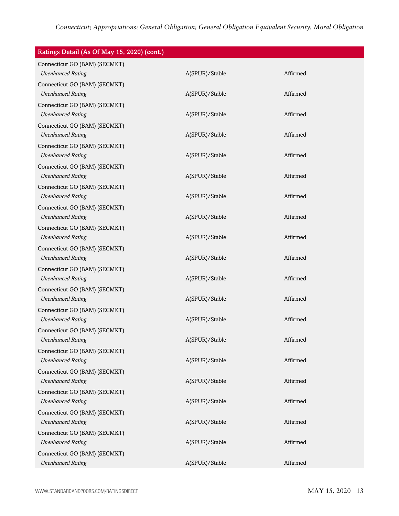| Ratings Detail (As Of May 15, 2020) (cont.)               |                |          |
|-----------------------------------------------------------|----------------|----------|
| Connecticut GO (BAM) (SECMKT)<br><b>Unenhanced Rating</b> | A(SPUR)/Stable | Affirmed |
| Connecticut GO (BAM) (SECMKT)<br><b>Unenhanced Rating</b> | A(SPUR)/Stable | Affirmed |
| Connecticut GO (BAM) (SECMKT)<br><b>Unenhanced Rating</b> | A(SPUR)/Stable | Affirmed |
| Connecticut GO (BAM) (SECMKT)<br><b>Unenhanced Rating</b> | A(SPUR)/Stable | Affirmed |
| Connecticut GO (BAM) (SECMKT)<br><b>Unenhanced Rating</b> | A(SPUR)/Stable | Affirmed |
| Connecticut GO (BAM) (SECMKT)<br><b>Unenhanced Rating</b> | A(SPUR)/Stable | Affirmed |
| Connecticut GO (BAM) (SECMKT)<br><b>Unenhanced Rating</b> | A(SPUR)/Stable | Affirmed |
| Connecticut GO (BAM) (SECMKT)<br><b>Unenhanced Rating</b> | A(SPUR)/Stable | Affirmed |
| Connecticut GO (BAM) (SECMKT)<br><b>Unenhanced Rating</b> | A(SPUR)/Stable | Affirmed |
| Connecticut GO (BAM) (SECMKT)<br><b>Unenhanced Rating</b> | A(SPUR)/Stable | Affirmed |
| Connecticut GO (BAM) (SECMKT)<br><b>Unenhanced Rating</b> | A(SPUR)/Stable | Affirmed |
| Connecticut GO (BAM) (SECMKT)<br><b>Unenhanced Rating</b> | A(SPUR)/Stable | Affirmed |
| Connecticut GO (BAM) (SECMKT)<br><b>Unenhanced Rating</b> | A(SPUR)/Stable | Affirmed |
| Connecticut GO (BAM) (SECMKT)<br><b>Unenhanced Rating</b> | A(SPUR)/Stable | Affirmed |
| Connecticut GO (BAM) (SECMKT)<br><b>Unenhanced Rating</b> | A(SPUR)/Stable | Affirmed |
| Connecticut GO (BAM) (SECMKT)<br><b>Unenhanced Rating</b> | A(SPUR)/Stable | Affirmed |
| Connecticut GO (BAM) (SECMKT)<br><b>Unenhanced Rating</b> | A(SPUR)/Stable | Affirmed |
| Connecticut GO (BAM) (SECMKT)<br><b>Unenhanced Rating</b> | A(SPUR)/Stable | Affirmed |
| Connecticut GO (BAM) (SECMKT)<br><b>Unenhanced Rating</b> | A(SPUR)/Stable | Affirmed |
| Connecticut GO (BAM) (SECMKT)<br><b>Unenhanced Rating</b> | A(SPUR)/Stable | Affirmed |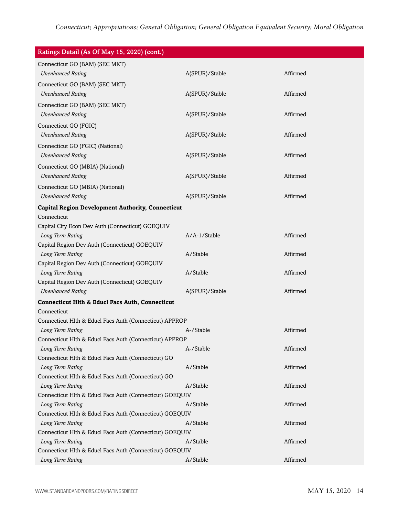| Ratings Detail (As Of May 15, 2020) (cont.)                                  |                |          |
|------------------------------------------------------------------------------|----------------|----------|
| Connecticut GO (BAM) (SEC MKT)                                               |                |          |
| <b>Unenhanced Rating</b>                                                     | A(SPUR)/Stable | Affirmed |
| Connecticut GO (BAM) (SEC MKT)                                               |                |          |
| <b>Unenhanced Rating</b>                                                     | A(SPUR)/Stable | Affirmed |
| Connecticut GO (BAM) (SEC MKT)                                               |                |          |
| <b>Unenhanced Rating</b>                                                     | A(SPUR)/Stable | Affirmed |
| Connecticut GO (FGIC)                                                        |                |          |
| <b>Unenhanced Rating</b>                                                     | A(SPUR)/Stable | Affirmed |
| Connecticut GO (FGIC) (National)                                             |                |          |
| <b>Unenhanced Rating</b>                                                     | A(SPUR)/Stable | Affirmed |
| Connecticut GO (MBIA) (National)                                             |                |          |
| <b>Unenhanced Rating</b>                                                     | A(SPUR)/Stable | Affirmed |
| Connecticut GO (MBIA) (National)                                             |                |          |
| <b>Unenhanced Rating</b>                                                     | A(SPUR)/Stable | Affirmed |
|                                                                              |                |          |
| <b>Capital Region Development Authority, Connecticut</b><br>Connecticut      |                |          |
| Capital City Econ Dev Auth (Connecticut) GOEQUIV                             |                |          |
| Long Term Rating                                                             | A/A-1/Stable   | Affirmed |
| Capital Region Dev Auth (Connecticut) GOEQUIV                                |                |          |
| Long Term Rating                                                             | A/Stable       | Affirmed |
| Capital Region Dev Auth (Connecticut) GOEQUIV                                |                |          |
| Long Term Rating                                                             | A/Stable       | Affirmed |
| Capital Region Dev Auth (Connecticut) GOEQUIV                                |                |          |
| <b>Unenhanced Rating</b>                                                     | A(SPUR)/Stable | Affirmed |
| <b>Connecticut Hlth &amp; Educl Facs Auth, Connecticut</b>                   |                |          |
| Connecticut                                                                  |                |          |
| Connecticut Hlth & Educl Facs Auth (Connecticut) APPROP                      |                |          |
| Long Term Rating                                                             | A-/Stable      | Affirmed |
| Connecticut Hlth & Educl Facs Auth (Connecticut) APPROP                      |                |          |
| Long Term Rating                                                             | A-/Stable      | Affirmed |
| Connecticut Hlth & Educl Facs Auth (Connecticut) GO                          |                |          |
| Long Term Rating                                                             | A/Stable       | Affirmed |
| Connecticut Hlth & Educl Facs Auth (Connecticut) GO                          | A/Stable       | Affirmed |
| Long Term Rating<br>Connecticut Hlth & Educl Facs Auth (Connecticut) GOEQUIV |                |          |
| Long Term Rating                                                             | A/Stable       | Affirmed |
| Connecticut Hlth & Educl Facs Auth (Connecticut) GOEQUIV                     |                |          |
| Long Term Rating                                                             | A/Stable       | Affirmed |
| Connecticut Hlth & Educl Facs Auth (Connecticut) GOEQUIV                     |                |          |
| Long Term Rating                                                             | A/Stable       | Affirmed |
| Connecticut Hlth & Educl Facs Auth (Connecticut) GOEQUIV                     |                |          |
| Long Term Rating                                                             | A/Stable       | Affirmed |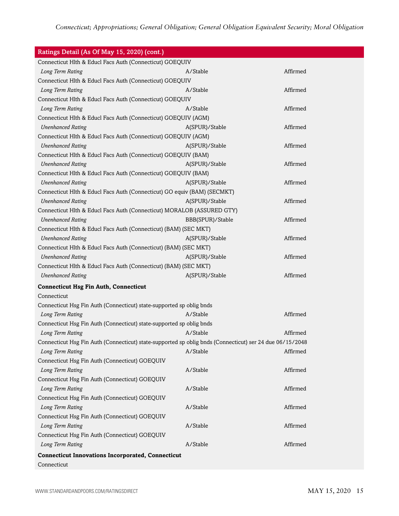| Ratings Detail (As Of May 15, 2020) (cont.)                                                              |                  |          |
|----------------------------------------------------------------------------------------------------------|------------------|----------|
| Connecticut Hlth & Educl Facs Auth (Connecticut) GOEQUIV                                                 |                  |          |
| Long Term Rating                                                                                         | A/Stable         | Affirmed |
| Connecticut Hlth & Educl Facs Auth (Connecticut) GOEQUIV                                                 |                  |          |
| Long Term Rating                                                                                         | A/Stable         | Affirmed |
| Connecticut Hlth & Educl Facs Auth (Connecticut) GOEQUIV                                                 |                  |          |
| Long Term Rating                                                                                         | A/Stable         | Affirmed |
| Connecticut Hlth & Educl Facs Auth (Connecticut) GOEQUIV (AGM)                                           |                  |          |
| <b>Unenhanced Rating</b>                                                                                 | A(SPUR)/Stable   | Affirmed |
| Connecticut Hlth & Educl Facs Auth (Connecticut) GOEQUIV (AGM)                                           |                  |          |
| <b>Unenhanced Rating</b>                                                                                 | A(SPUR)/Stable   | Affirmed |
| Connecticut Hlth & Educl Facs Auth (Connecticut) GOEQUIV (BAM)                                           |                  |          |
| <b>Unenhanced Rating</b>                                                                                 | A(SPUR)/Stable   | Affirmed |
| Connecticut Hlth & Educl Facs Auth (Connecticut) GOEQUIV (BAM)                                           |                  |          |
| <b>Unenhanced Rating</b>                                                                                 | A(SPUR)/Stable   | Affirmed |
| Connecticut Hlth & Educl Facs Auth (Connecticut) GO equiv (BAM) (SECMKT)                                 |                  |          |
| <b>Unenhanced Rating</b>                                                                                 | A(SPUR)/Stable   | Affirmed |
| Connecticut Hlth & Educl Facs Auth (Connecticut) MORALOB (ASSURED GTY)                                   |                  |          |
| <b>Unenhanced Rating</b>                                                                                 | BBB(SPUR)/Stable | Affirmed |
| Connecticut Hlth & Educl Facs Auth (Connecticut) (BAM) (SEC MKT)                                         |                  |          |
| <b>Unenhanced Rating</b>                                                                                 | A(SPUR)/Stable   | Affirmed |
| Connecticut Hlth & Educl Facs Auth (Connecticut) (BAM) (SEC MKT)                                         |                  |          |
| <b>Unenhanced Rating</b>                                                                                 | A(SPUR)/Stable   | Affirmed |
| Connecticut Hlth & Educl Facs Auth (Connecticut) (BAM) (SEC MKT)                                         |                  |          |
| <b>Unenhanced Rating</b>                                                                                 | A(SPUR)/Stable   | Affirmed |
| <b>Connecticut Hsg Fin Auth, Connecticut</b>                                                             |                  |          |
| Connecticut                                                                                              |                  |          |
| Connecticut Hsg Fin Auth (Connecticut) state-supported sp oblig bnds                                     |                  |          |
| Long Term Rating                                                                                         | A/Stable         | Affirmed |
| Connecticut Hsg Fin Auth (Connecticut) state-supported sp oblig bnds                                     |                  |          |
| Long Term Rating                                                                                         | A/Stable         | Affirmed |
| Connecticut Hsg Fin Auth (Connecticut) state-supported sp oblig bnds (Connecticut) ser 24 due 06/15/2048 |                  |          |
| Long Term Rating                                                                                         | A/Stable         | Affirmed |
| Connecticut Hsg Fin Auth (Connecticut) GOEQUIV                                                           |                  |          |
| Long Term Rating                                                                                         | A/Stable         | Affirmed |
| Connecticut Hsg Fin Auth (Connecticut) GOEQUIV                                                           |                  |          |
| Long Term Rating                                                                                         | A/Stable         | Affirmed |
| Connecticut Hsg Fin Auth (Connecticut) GOEQUIV                                                           |                  |          |
| Long Term Rating                                                                                         | A/Stable         | Affirmed |
| Connecticut Hsg Fin Auth (Connecticut) GOEQUIV                                                           |                  |          |
| Long Term Rating                                                                                         | A/Stable         | Affirmed |
| Connecticut Hsg Fin Auth (Connecticut) GOEQUIV                                                           |                  |          |
| Long Term Rating                                                                                         | A/Stable         | Affirmed |
| <b>Connecticut Innovations Incorporated, Connecticut</b>                                                 |                  |          |
| Connecticut                                                                                              |                  |          |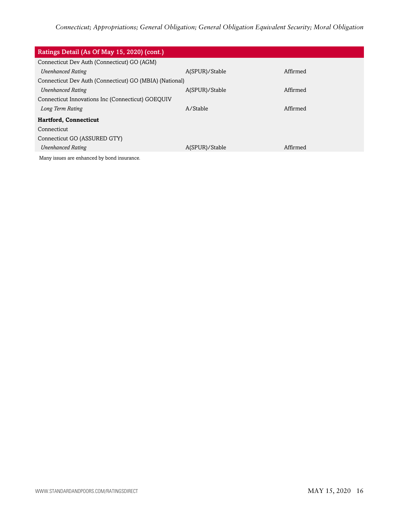| Ratings Detail (As Of May 15, 2020) (cont.)             |                |          |  |
|---------------------------------------------------------|----------------|----------|--|
| Connecticut Dev Auth (Connecticut) GO (AGM)             |                |          |  |
| <b>Unenhanced Rating</b>                                | A(SPUR)/Stable | Affirmed |  |
| Connecticut Dev Auth (Connecticut) GO (MBIA) (National) |                |          |  |
| <b>Unenhanced Rating</b>                                | A(SPUR)/Stable | Affirmed |  |
| Connecticut Innovations Inc (Connecticut) GOEQUIV       |                |          |  |
| Long Term Rating                                        | A/Stable       | Affirmed |  |
| <b>Hartford, Connecticut</b>                            |                |          |  |
| Connecticut                                             |                |          |  |
| Connecticut GO (ASSURED GTY)                            |                |          |  |
| <b>Unenhanced Rating</b>                                | A(SPUR)/Stable | Affirmed |  |
| Many issues are enhanced by bond insurance.             |                |          |  |